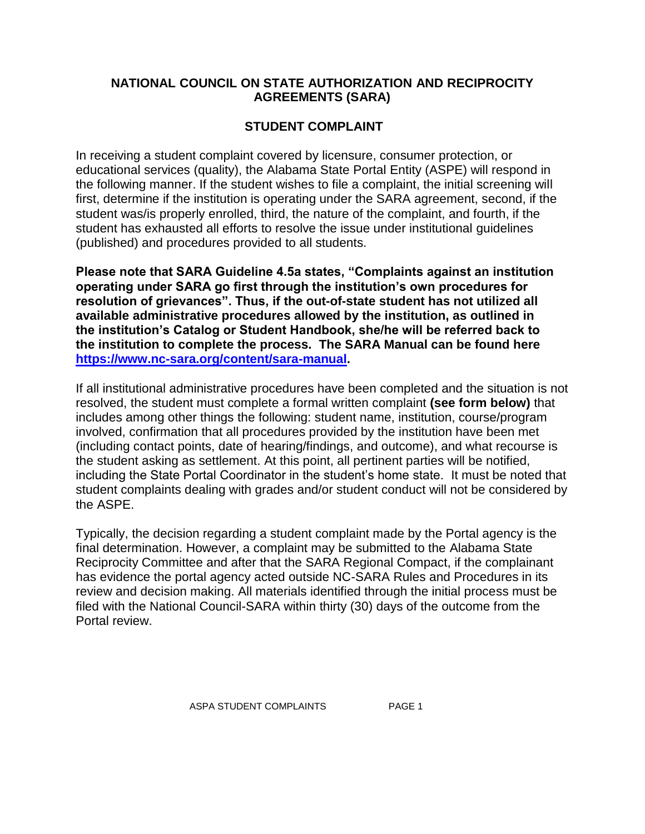## **NATIONAL COUNCIL ON STATE AUTHORIZATION AND RECIPROCITY AGREEMENTS (SARA)**

## **STUDENT COMPLAINT**

In receiving a student complaint covered by licensure, consumer protection, or educational services (quality), the Alabama State Portal Entity (ASPE) will respond in the following manner. If the student wishes to file a complaint, the initial screening will first, determine if the institution is operating under the SARA agreement, second, if the student was/is properly enrolled, third, the nature of the complaint, and fourth, if the student has exhausted all efforts to resolve the issue under institutional guidelines (published) and procedures provided to all students.

**Please note that SARA Guideline 4.5a states, "Complaints against an institution operating under SARA go first through the institution's own procedures for resolution of grievances". Thus, if the out-of-state student has not utilized all available administrative procedures allowed by the institution, as outlined in the institution's Catalog or Student Handbook, she/he will be referred back to the institution to complete the process. The SARA Manual can be found here [https://www.nc-sara.org/content/sara-manual.](https://www.nc-sara.org/content/sara-manual)**

If all institutional administrative procedures have been completed and the situation is not resolved, the student must complete a formal written complaint **(see form below)** that includes among other things the following: student name, institution, course/program involved, confirmation that all procedures provided by the institution have been met (including contact points, date of hearing/findings, and outcome), and what recourse is the student asking as settlement. At this point, all pertinent parties will be notified, including the State Portal Coordinator in the student's home state. It must be noted that student complaints dealing with grades and/or student conduct will not be considered by the ASPE.

Typically, the decision regarding a student complaint made by the Portal agency is the final determination. However, a complaint may be submitted to the Alabama State Reciprocity Committee and after that the SARA Regional Compact, if the complainant has evidence the portal agency acted outside NC-SARA Rules and Procedures in its review and decision making. All materials identified through the initial process must be filed with the National Council-SARA within thirty (30) days of the outcome from the Portal review.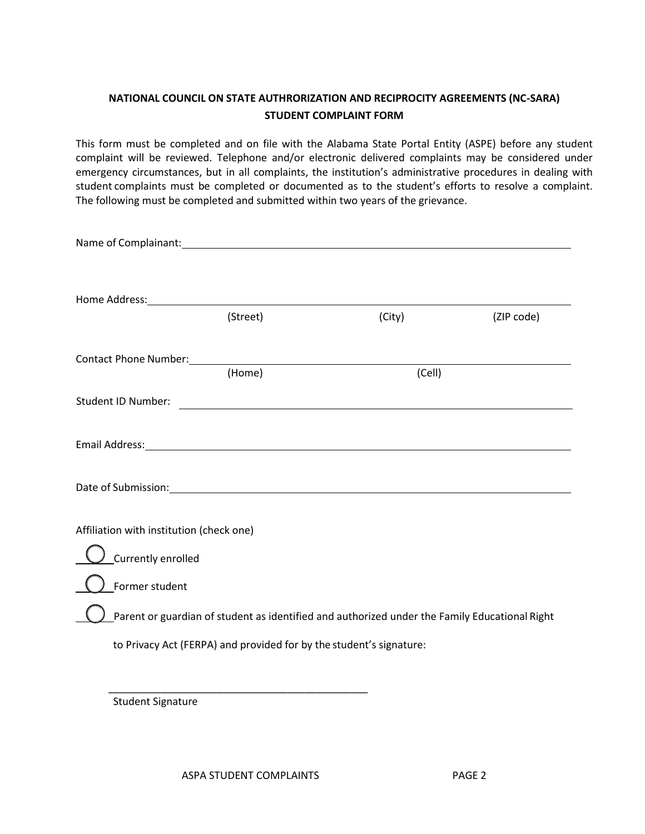## **NATIONAL COUNCIL ON STATE AUTHRORIZATION AND RECIPROCITY AGREEMENTS (NC-SARA) STUDENT COMPLAINT FORM**

This form must be completed and on file with the Alabama State Portal Entity (ASPE) before any student complaint will be reviewed. Telephone and/or electronic delivered complaints may be considered under emergency circumstances, but in all complaints, the institution's administrative procedures in dealing with student complaints must be completed or documented as to the student's efforts to resolve a complaint. The following must be completed and submitted within two years of the grievance.

| Name of Complainant: Name of Complainant:                                                                                                                                                                                     |                                                                     |                                                                                                                             |            |
|-------------------------------------------------------------------------------------------------------------------------------------------------------------------------------------------------------------------------------|---------------------------------------------------------------------|-----------------------------------------------------------------------------------------------------------------------------|------------|
| Home Address: North American State of the Address of the Address of the Address of the Address of the Address of the Address of the Address of the Address of the Address of the Address of the Address of the Address of the |                                                                     |                                                                                                                             |            |
|                                                                                                                                                                                                                               | (Street)                                                            | (City)                                                                                                                      | (ZIP code) |
| Contact Phone Number: 1997                                                                                                                                                                                                    | (Home)                                                              | (Cell)                                                                                                                      |            |
| Student ID Number:                                                                                                                                                                                                            |                                                                     | <u> 1989 - Andrea Station Barbara, amerikan personal personal personal personal personal personal personal personal per</u> |            |
| Email Address: No. 1997 - All Annual Address: No. 1997 - All Annual Address: No. 1997 - All Annual Address: No                                                                                                                |                                                                     |                                                                                                                             |            |
|                                                                                                                                                                                                                               |                                                                     |                                                                                                                             |            |
| Affiliation with institution (check one)                                                                                                                                                                                      |                                                                     |                                                                                                                             |            |
| Currently enrolled                                                                                                                                                                                                            |                                                                     |                                                                                                                             |            |
| Former student                                                                                                                                                                                                                |                                                                     |                                                                                                                             |            |
|                                                                                                                                                                                                                               |                                                                     | Parent or guardian of student as identified and authorized under the Family Educational Right                               |            |
|                                                                                                                                                                                                                               | to Privacy Act (FERPA) and provided for by the student's signature: |                                                                                                                             |            |
|                                                                                                                                                                                                                               |                                                                     |                                                                                                                             |            |

Student Signature

\_\_\_\_\_\_\_\_\_\_\_\_\_\_\_\_\_\_\_\_\_\_\_\_\_\_\_\_\_\_\_\_\_\_\_\_\_\_\_\_\_\_\_\_\_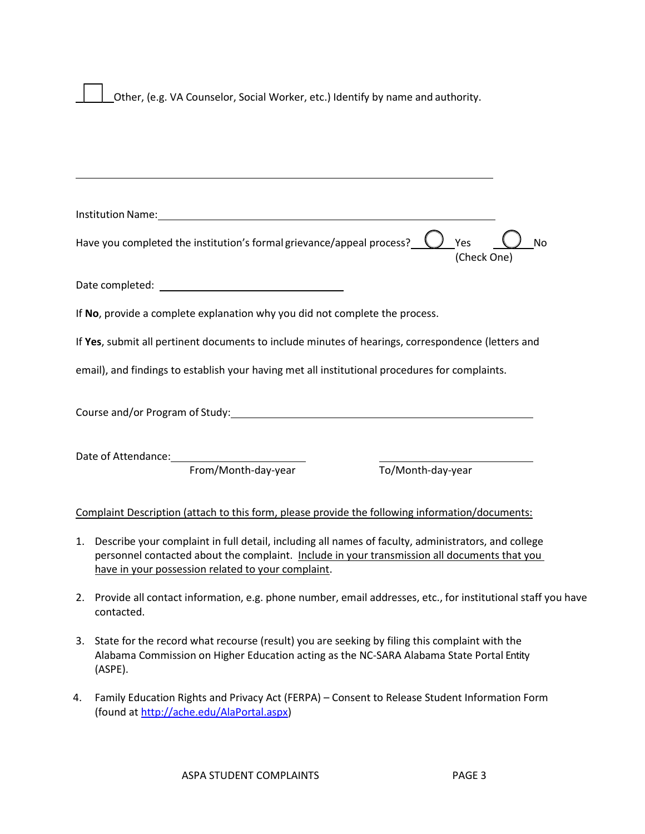Other, (e.g. VA Counselor, Social Worker, etc.) Identify by name and authority.

| Institution Name: University of the Contract of the Contract of the Contract of the Contract of the Contract of the Contract of the Contract of the Contract of the Contract of the Contract of the Contract of the Contract o |                          |
|--------------------------------------------------------------------------------------------------------------------------------------------------------------------------------------------------------------------------------|--------------------------|
| Have you completed the institution's formal grievance/appeal process? $\sqrt{2}$                                                                                                                                               | Yes<br>No<br>(Check One) |
|                                                                                                                                                                                                                                |                          |
| If No, provide a complete explanation why you did not complete the process.                                                                                                                                                    |                          |
| If Yes, submit all pertinent documents to include minutes of hearings, correspondence (letters and                                                                                                                             |                          |
| email), and findings to establish your having met all institutional procedures for complaints.                                                                                                                                 |                          |
|                                                                                                                                                                                                                                |                          |
| From/Month-day-year                                                                                                                                                                                                            | To/Month-day-year        |
| Complaint Description (attach to this form, please provide the following information/documents:                                                                                                                                |                          |
| 1. Describe your complaint in full detail, including all names of faculty, administrators, and college                                                                                                                         |                          |

- personnel contacted about the complaint. Include in your transmission all documents that you have in your possession related to your complaint.
- 2. Provide all contact information, e.g. phone number, email addresses, etc., for institutional staff you have contacted.
- 3. State for the record what recourse (result) you are seeking by filing this complaint with the Alabama Commission on Higher Education acting as the NC-SARA Alabama State Portal Entity (ASPE).
- 4. Family Education Rights and Privacy Act (FERPA) Consent to Release Student Information Form (found at [http://ache.edu/AlaPortal.aspx\)](http://ache.edu/AlaPortal.aspx)